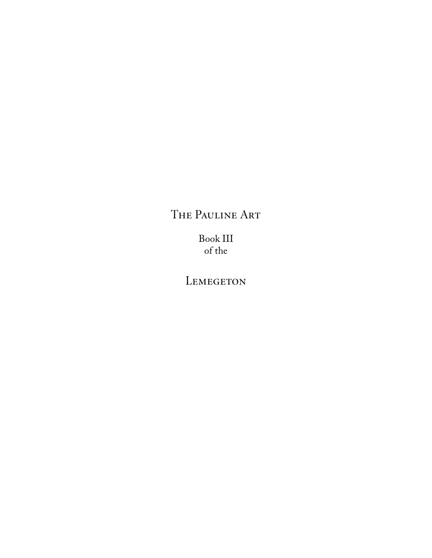# The Pauline Art

Book III of the

LEMEGETON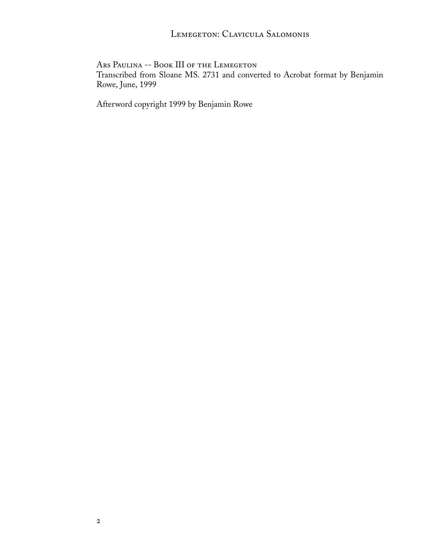# LEMEGETON: CLAVICULA SALOMONIS

Ars Paulina -- Book III of the Lemegeton

Transcribed from Sloane MS. 2731 and converted to Acrobat format by Benjamin Rowe, June, 1999

Afterword copyright 1999 by Benjamin Rowe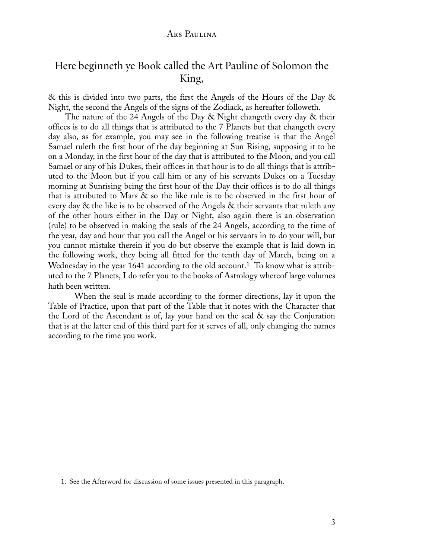# Here beginneth ye Book called the Art Pauline of Solomon the King,

& this is divided into two parts, the first the Angels of the Hours of the Day & Night, the second the Angels of the signs of the Zodiack, as hereafter followeth.

The nature of the 24 Angels of the Day & Night changeth every day & their offices is to do all things that is attributed to the 7 Planets but that changeth every day also, as for example, you may see in the following treatise is that the Angel Samael ruleth the first hour of the day beginning at Sun Rising, supposing it to be on a Monday, in the first hour of the day that is attributed to the Moon, and you call Samael or any of his Dukes, their offices in that hour is to do all things that is attributed to the Moon but if you call him or any of his servants Dukes on a Tuesday morning at Sunrising being the first hour of the Day their offices is to do all things that is attributed to Mars & so the like rule is to be observed in the first hour of every day & the like is to be observed of the Angels & their servants that ruleth any of the other hours either in the Day or Night, also again there is an observation (rule) to be observed in making the seals of the 24 Angels, according to the time of the year, day and hour that you call the Angel or his servants in to do your will, but you cannot mistake therein if you do but observe the example that is laid down in the following work, they being all fitted for the tenth day of March, being on a Wednesday in the year 1641 according to the old account.<sup>1</sup> To know what is attributed to the 7 Planets, I do refer you to the books of Astrology whereof large volumes hath been written.

 When the seal is made according to the former directions, lay it upon the Table of Practice, upon that part of the Table that it notes with the Character that the Lord of the Ascendant is of, lay your hand on the seal & say the Conjuration that is at the latter end of this third part for it serves of all, only changing the names according to the time you work.

<sup>1.</sup> See the Afterword for discussion of some issues presented in this paragraph.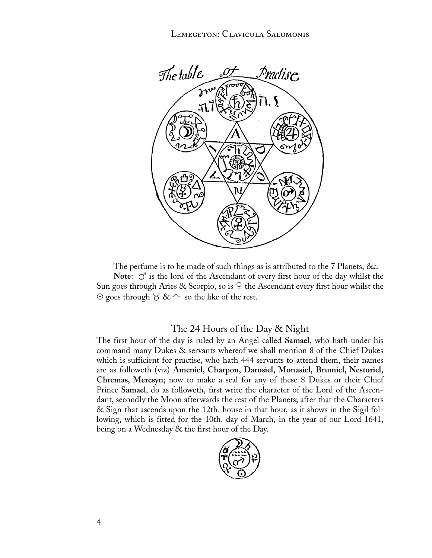Lemegeton: Clavicula Salomonis



The perfume is to be made of such things as is attributed to the 7 Planets, &c. **Note:**  $\circlearrowleft$  is the lord of the Ascendant of every first hour of the day whilst the Sun goes through Aries & Scorpio, so is  $\varphi$  the Ascendant every first hour whilst the  $\odot$  goes through  $\odot$  &  $\rightleftharpoons$  so the like of the rest.

### The 24 Hours of the Day & Night

The first hour of the day is ruled by an Angel called **Samael**, who hath under his command many Dukes & servants whereof we shall mention 8 of the Chief Dukes which is sufficient for practise, who hath 444 servants to attend them, their names are as followeth (viz) **Ameniel, Charpon, Darosiel, Monasiel, Brumiel, Nestoriel, Chremas, Meresyn**; now to make a seal for any of these 8 Dukes or their Chief Prince **Samael**, do as followeth, first write the character of the Lord of the Ascendant, secondly the Moon afterwards the rest of the Planets; after that the Characters & Sign that ascends upon the 12th. house in that hour, as it shows in the Sigil following, which is fitted for the 10th. day of March, in the year of our Lord 1641, being on a Wednesday & the first hour of the Day.

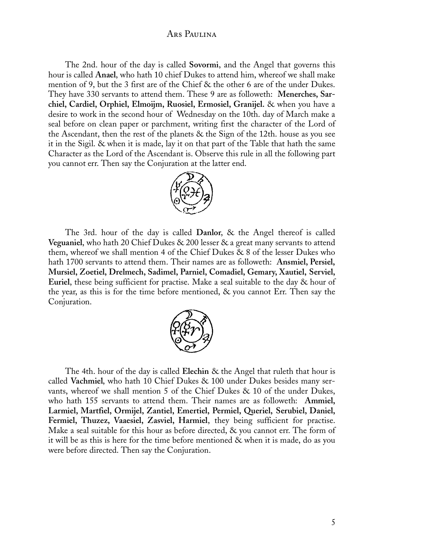The 2nd. hour of the day is called **Sovormi**, and the Angel that governs this hour is called **Anael**, who hath 10 chief Dukes to attend him, whereof we shall make mention of 9, but the 3 first are of the Chief & the other 6 are of the under Dukes. They have 330 servants to attend them. These 9 are as followeth: **Menerches, Sarchiel, Cardiel, Orphiel, Elmoijm, Ruosiel, Ermosiel, Granijel.** & when you have a desire to work in the second hour of Wednesday on the 10th. day of March make a seal before on clean paper or parchment, writing first the character of the Lord of the Ascendant, then the rest of the planets & the Sign of the 12th. house as you see it in the Sigil. & when it is made, lay it on that part of the Table that hath the same Character as the Lord of the Ascendant is. Observe this rule in all the following part you cannot err. Then say the Conjuration at the latter end.



The 3rd. hour of the day is called **Danlor**, & the Angel thereof is called **Veguaniel**, who hath 20 Chief Dukes & 200 lesser & a great many servants to attend them, whereof we shall mention 4 of the Chief Dukes & 8 of the lesser Dukes who hath 1700 servants to attend them. Their names are as followeth: **Ansmiel, Persiel, Mursiel, Zoetiel, Drelmech, Sadimel, Parniel, Comadiel, Gemary, Xautiel, Serviel, Euriel**, these being sufficient for practise. Make a seal suitable to the day & hour of the year, as this is for the time before mentioned, & you cannot Err. Then say the Conjuration.



The 4th. hour of the day is called **Elechin** & the Angel that ruleth that hour is called **Vachmiel**, who hath 10 Chief Dukes & 100 under Dukes besides many servants, whereof we shall mention 5 of the Chief Dukes & 10 of the under Dukes, who hath 155 servants to attend them. Their names are as followeth: **Ammiel, Larmiel, Martfiel, Ormijel, Zantiel, Emertiel, Permiel, Queriel, Serubiel, Daniel, Fermiel, Thuzez, Vaaesiel, Zasviel, Harmiel**, they being sufficient for practise. Make a seal suitable for this hour as before directed, & you cannot err. The form of it will be as this is here for the time before mentioned & when it is made, do as you were before directed. Then say the Conjuration.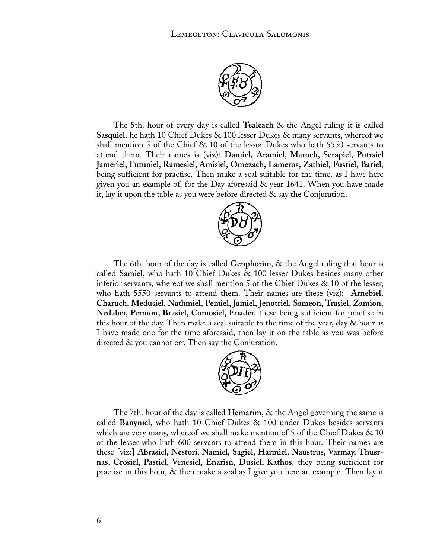

The 5th. hour of every day is called **Tealeach** & the Angel ruling it is called **Sasquiel**, he hath 10 Chief Dukes & 100 lesser Dukes & many servants, whereof we shall mention 5 of the Chief & 10 of the lessor Dukes who hath 5550 servants to attend them. Their names is (viz): **Damiel, Aramiel, Maroch, Serapiel, Putrsiel Jameriel, Futuniel, Ramesiel, Amisiel, Omezach, Lameros, Zathiel, Fustiel, Bariel**, being sufficient for practise. Then make a seal suitable for the time, as I have here given you an example of, for the Day aforesaid & year 1641. When you have made it, lay it upon the table as you were before directed & say the Conjuration.



The 6th. hour of the day is called **Genphorim**, & the Angel ruling that hour is called **Samiel**, who hath 10 Chief Dukes & 100 lesser Dukes besides many other inferior servants, whereof we shall mention 5 of the Chief Dukes & 10 of the lesser, who hath 5550 servants to attend them. Their names are these (viz): **Arnebiel, Charuch, Medusiel, Nathmiel, Pemiel, Jamiel, Jenotriel, Sameon, Trasiel, Zamion, Nedaber, Permon, Brasiel, Comosiel, Enader**, these being sufficient for practise in this hour of the day. Then make a seal suitable to the time of the year, day & hour as I have made one for the time aforesaid, then lay it on the table as you was before directed & you cannot err. Then say the Conjuration.



The 7th. hour of the day is called **Hemarim**, & the Angel governing the same is called **Banyniel**, who hath 10 Chief Dukes & 100 under Dukes besides servants which are very many, whereof we shall make mention of 5 of the Chief Dukes  $\&$  10 of the lesser who hath 600 servants to attend them in this hour. Their names are these [viz:] **Abrasiel, Nestori, Namiel, Sagiel, Harmiel, Naustrus, Varmay, Thusrnas, Crosiel, Pastiel, Venesiel, Enarisn, Dusiel, Kathos**, they being sufficient for practise in this hour, & then make a seal as I give you here an example. Then lay it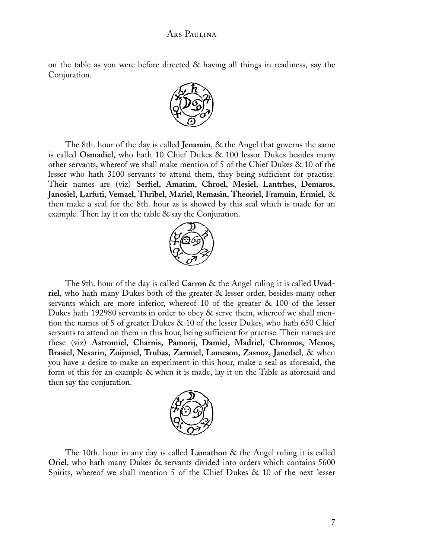on the table as you were before directed & having all things in readiness, say the Conjuration.



The 8th. hour of the day is called **Jenamin**, & the Angel that governs the same is called **Osmadiel**, who hath 10 Chief Dukes & 100 lessor Dukes besides many other servants, whereof we shall make mention of 5 of the Chief Dukes & 10 of the lesser who hath 3100 servants to attend them, they being sufficient for practise. Their names are (viz) **Serfiel, Amatim, Chroel, Mesiel, Lantrhes, Demaros, Janosiel, Larfuti, Vemael, Thribel, Mariel, Remasin, Theoriel, Framuin, Ermiel**, & then make a seal for the 8th. hour as is showed by this seal which is made for an example. Then lay it on the table  $\&$  say the Conjuration.



The 9th. hour of the day is called **Carron** & the Angel ruling it is called **Uvadriel**, who hath many Dukes both of the greater & lesser order, besides many other servants which are more inferior, whereof 10 of the greater & 100 of the lesser Dukes hath 192980 servants in order to obey & serve them, whereof we shall mention the names of 5 of greater Dukes & 10 of the lesser Dukes, who hath 650 Chief servants to attend on them in this hour, being sufficient for practise. Their names are these (viz) **Astromiel, Charnis, Pamorij, Damiel, Madriel, Chromos, Menos, Brasiel, Nesarin, Zoijmiel, Trubas, Zarmiel, Lameson, Zasnoz, Janediel**, & when you have a desire to make an experiment in this hour, make a seal as aforesaid, the form of this for an example & when it is made, lay it on the Table as aforesaid and then say the conjuration.



The 10th. hour in any day is called **Lamathon** & the Angel ruling it is called **Oriel**, who hath many Dukes & servants divided into orders which contains 5600 Spirits, whereof we shall mention 5 of the Chief Dukes & 10 of the next lesser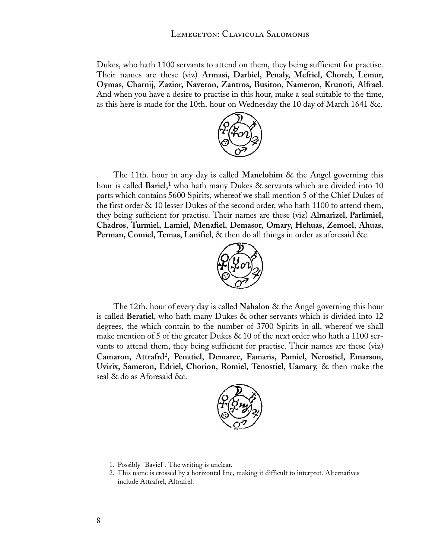Dukes, who hath 1100 servants to attend on them, they being sufficient for practise. Their names are these (viz) **Armasi, Darbiel, Penaly, Mefriel, Choreb, Lemur, Oymas, Charnij, Zazior, Naveron, Zantros, Busiton, Nameron, Krunoti, Alfrael**. And when you have a desire to practise in this hour, make a seal suitable to the time, as this here is made for the 10th. hour on Wednesday the 10 day of March 1641 &c.



The 11th. hour in any day is called **Manelohim** & the Angel governing this hour is called **Bariel**, 1 who hath many Dukes & servants which are divided into 10 parts which contains 5600 Spirits, whereof we shall mention 5 of the Chief Dukes of the first order & 10 lesser Dukes of the second order, who hath 1100 to attend them, they being sufficient for practise. Their names are these (viz) **Almarizel, Parlimiel, Chadros, Turmiel, Lamiel, Menafiel, Demasor, Omary, Hehuas, Zemoel, Ahuas, Perman, Comiel, Temas, Lanifiel**, & then do all things in order as aforesaid &c.



The 12th. hour of every day is called **Nahalon** & the Angel governing this hour is called **Beratiel**, who hath many Dukes & other servants which is divided into 12 degrees, the which contain to the number of 3700 Spirits in all, whereof we shall make mention of 5 of the greater Dukes  $& 10$  of the next order who hath a 1100 servants to attend them, they being sufficient for practise. Their names are these (viz) **Camaron, Attrafrd**<sup>2</sup>**, Penatiel, Demarec, Famaris, Pamiel, Nerostiel, Emarson, Uvirix, Sameron, Edriel, Chorion, Romiel, Tenostiel, Uamary**, & then make the seal & do as Aforesaid &c.



<sup>1.</sup> Possibly "Baviel". The writing is unclear.

<sup>2.</sup> This name is crossed by a horizontal line, making it difficult to interpret. Alternatives include Attrafrel, Altrafrel.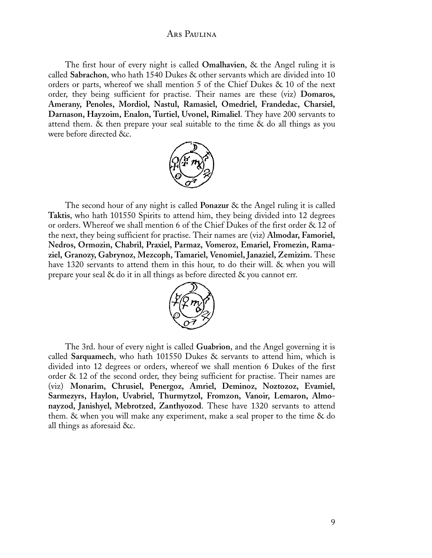The first hour of every night is called **Omalhavien**, & the Angel ruling it is called **Sabrachon**, who hath 1540 Dukes & other servants which are divided into 10 orders or parts, whereof we shall mention 5 of the Chief Dukes & 10 of the next order, they being sufficient for practise. Their names are these (viz) **Domaros, Amerany, Penoles, Mordiol, Nastul, Ramasiel, Omedriel, Frandedac, Charsiel, Darnason, Hayzoim, Enalon, Turtiel, Uvonel, Rimaliel**. They have 200 servants to attend them. & then prepare your seal suitable to the time & do all things as you were before directed &c.



The second hour of any night is called **Ponazur** & the Angel ruling it is called **Taktis**, who hath 101550 Spirits to attend him, they being divided into 12 degrees or orders. Whereof we shall mention 6 of the Chief Dukes of the first order & 12 of the next, they being sufficient for practise. Their names are (viz) **Almodar, Famoriel, Nedros, Ormozin, Chabril, Praxiel, Parmaz, Vomeroz, Emariel, Fromezin, Ramaziel, Granozy, Gabrynoz, Mezcoph, Tamariel, Venomiel, Janaziel, Zemizim.** These have 1320 servants to attend them in this hour, to do their will. & when you will prepare your seal & do it in all things as before directed & you cannot err.



The 3rd. hour of every night is called **Guabrion**, and the Angel governing it is called **Sarquamech**, who hath 101550 Dukes & servants to attend him, which is divided into 12 degrees or orders, whereof we shall mention 6 Dukes of the first order & 12 of the second order, they being sufficient for practise. Their names are (viz) **Monarim, Chrusiel, Penergoz, Amriel, Deminoz, Noztozoz, Evamiel, Sarmezyrs, Haylon, Uvabriel, Thurmytzol, Fromzon, Vanoir, Lemaron, Almonayzod, Janishyel, Mebrotzed, Zanthyozod**. These have 1320 servants to attend them. & when you will make any experiment, make a seal proper to the time & do all things as aforesaid &c.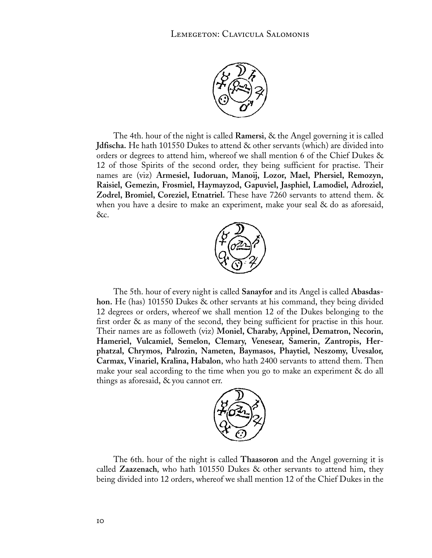

The 4th. hour of the night is called **Ramersi**, & the Angel governing it is called **Jdfischa.** He hath 101550 Dukes to attend & other servants (which) are divided into orders or degrees to attend him, whereof we shall mention 6 of the Chief Dukes & 12 of those Spirits of the second order, they being sufficient for practise. Their names are (viz) **Armesiel, Iudoruan, Manoij, Lozor, Mael, Phersiel, Remozyn, Raisiel, Gemezin, Frosmiel, Haymayzod, Gapuviel, Jasphiel, Lamodiel, Adroziel, Zodrel, Bromiel, Coreziel, Etnatriel.** These have 7260 servants to attend them. & when you have a desire to make an experiment, make your seal & do as aforesaid, &c.



The 5th. hour of every night is called **Sanayfor** and its Angel is called **Abasdashon.** He (has) 101550 Dukes & other servants at his command, they being divided 12 degrees or orders, whereof we shall mention 12 of the Dukes belonging to the first order & as many of the second, they being sufficient for practise in this hour. Their names are as followeth (viz) **Moniel, Charaby, Appinel, Dematron, Necorin, Hameriel, Vulcamiel, Semelon, Clemary, Venesear, Samerin, Zantropis, Herphatzal, Chrymos, Palrozin, Nameten, Baymasos, Phaytiel, Neszomy, Uvesalor, Carmax, Vinariel, Kralina, Habalon**, who hath 2400 servants to attend them. Then make your seal according to the time when you go to make an experiment  $\&$  do all things as aforesaid, & you cannot err.



The 6th. hour of the night is called **Thaasoron** and the Angel governing it is called **Zaazenach**, who hath 101550 Dukes & other servants to attend him, they being divided into 12 orders, whereof we shall mention 12 of the Chief Dukes in the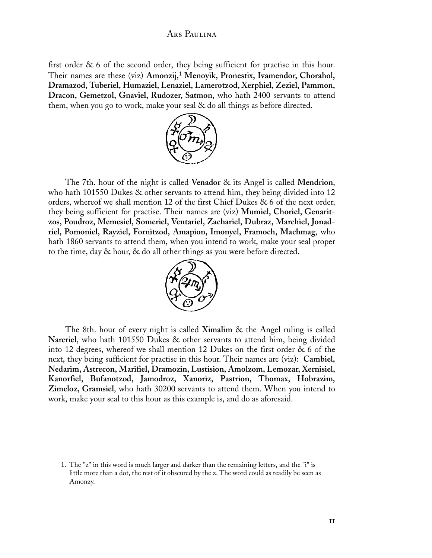first order & 6 of the second order, they being sufficient for practise in this hour. Their names are these (viz) **Amonzij,**1 **Menoyik, Pronestix, Ivamendor, Chorahol, Dramazod, Tuberiel, Humaziel, Lenaziel, Lamerotzod, Xerphiel, Zeziel, Pammon, Dracon, Gemetzol, Gnaviel, Rudozer, Satmon**, who hath 2400 servants to attend them, when you go to work, make your seal & do all things as before directed.



The 7th. hour of the night is called **Venador** & its Angel is called **Mendrion**, who hath 101550 Dukes & other servants to attend him, they being divided into 12 orders, whereof we shall mention 12 of the first Chief Dukes & 6 of the next order, they being sufficient for practise. Their names are (viz) **Mumiel, Choriel, Genaritzos, Poudroz, Memesiel, Someriel, Ventariel, Zachariel, Dubraz, Marchiel, Jonadriel, Pomoniel, Rayziel, Fornitzod, Amapion, Imonyel, Framoch, Machmag**, who hath 1860 servants to attend them, when you intend to work, make your seal proper to the time, day & hour, & do all other things as you were before directed.



The 8th. hour of every night is called **Ximalim** & the Angel ruling is called **Narcriel**, who hath 101550 Dukes & other servants to attend him, being divided into 12 degrees, whereof we shall mention 12 Dukes on the first order & 6 of the next, they being sufficient for practise in this hour. Their names are (viz): **Cambiel, Nedarim, Astrecon, Marifiel, Dramozin, Lustision, Amolzom, Lemozar, Xernisiel, Kanorfiel, Bufanotzod, Jamodroz, Xanoriz, Pastrion, Thomax, Hobrazim, Zimeloz, Gramsiel**, who hath 30200 servants to attend them. When you intend to work, make your seal to this hour as this example is, and do as aforesaid.

<sup>1.</sup> The "z" in this word is much larger and darker than the remaining letters, and the "i" is little more than a dot, the rest of it obscured by the z. The word could as readily be seen as Amonzy.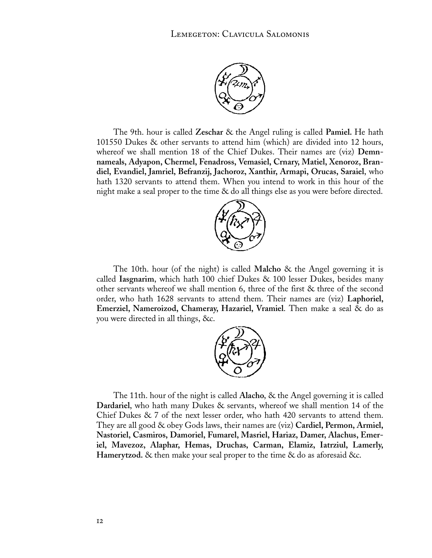

The 9th. hour is called **Zeschar** & the Angel ruling is called **Pamiel.** He hath 101550 Dukes & other servants to attend him (which) are divided into 12 hours, whereof we shall mention 18 of the Chief Dukes. Their names are (viz) **Demnnameals, Adyapon, Chermel, Fenadross, Vemasiel, Crnary, Matiel, Xenoroz, Brandiel, Evandiel, Jamriel, Befranzij, Jachoroz, Xanthir, Armapi, Orucas, Saraiel**, who hath 1320 servants to attend them. When you intend to work in this hour of the night make a seal proper to the time & do all things else as you were before directed.



The 10th. hour (of the night) is called **Malcho** & the Angel governing it is called **Iasgnarim**, which hath 100 chief Dukes & 100 lesser Dukes, besides many other servants whereof we shall mention 6, three of the first & three of the second order, who hath 1628 servants to attend them. Their names are (viz) **Laphoriel, Emerziel, Nameroizod, Chameray, Hazariel, Vramiel**. Then make a seal & do as you were directed in all things, &c.



The 11th. hour of the night is called **Alacho**, & the Angel governing it is called **Dardariel**, who hath many Dukes & servants, whereof we shall mention 14 of the Chief Dukes & 7 of the next lesser order, who hath 420 servants to attend them. They are all good & obey Gods laws, their names are (viz) **Cardiel, Permon, Armiel, Nastoriel, Casmiros, Damoriel, Fumarel, Masriel, Hariaz, Damer, Alachus, Emeriel, Mavezoz, Alaphar, Hemas, Druchas, Carman, Elamiz, Iatrziul, Lamerly, Hamerytzod.** & then make your seal proper to the time & do as aforesaid &c.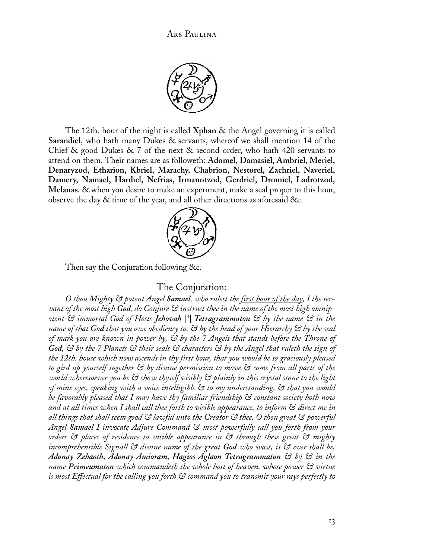

The 12th. hour of the night is called **Xphan** & the Angel governing it is called **Sarandiel**, who hath many Dukes & servants, whereof we shall mention 14 of the Chief & good Dukes & 7 of the next & second order, who hath 420 servants to attend on them. Their names are as followeth: **Adomel, Damasiel, Ambriel, Meriel, Denaryzod, Etharion, Kbriel, Marachy, Chabrion, Nestorel, Zachriel, Naveriel, Damery, Namael, Hardiel, Nefrias, Irmanotzod, Gerdriel, Dromiel, Ladrotzod, Melanas.** & when you desire to make an experiment, make a seal proper to this hour, observe the day & time of the year, and all other directions as aforesaid &c.



Then say the Conjuration following &c.

#### The Conjuration:

*O thou Mighty & potent Angel Samael, who rulest the first hour of the day, I the servant of the most high God, do Conjure & instruct thee in the name of the most high omnipotent & immortal God of Hosts Jehovah |\*| Tetragrammaton & by the name & in the name of that God that you owe obediency to, & by the head of your Hierarchy & by the seal of mark you are known in power by, & by the 7 Angels that stands before the Throne of God, & by the 7 Planets & their seals & characters & by the Angel that ruleth the sign of the 12th. house which now ascends in thy first hour, that you would be so graciously pleased to gird up yourself together & by divine permission to move & come from all parts of the world wheresoever you be & show thyself visibly & plainly in this crystal stone to the light of mine eyes, speaking with a voice intelligible & to my understanding, & that you would be favorably pleased that I may have thy familiar friendship & constant society both now and at all times when I shall call thee forth to visible appearance, to inform & direct me in all things that shall seem good & lawful unto the Creator & thee, O thou great & powerful Angel Samael I invocate Adjure Command & most powerfully call you forth from your orders & places of residence to visible appearance in & through these great & mighty incomprehensible Signall & divine name of the great God who wast, is & ever shall be, Adonay Zebaoth, Adonay Amioram, Hagios Aglaon Tetragrammaton & by & in the name Primeumaton which commandeth the whole host of heaven, whose power & virtue is most Effectual for the calling you forth & command you to transmit your rays perfectly to*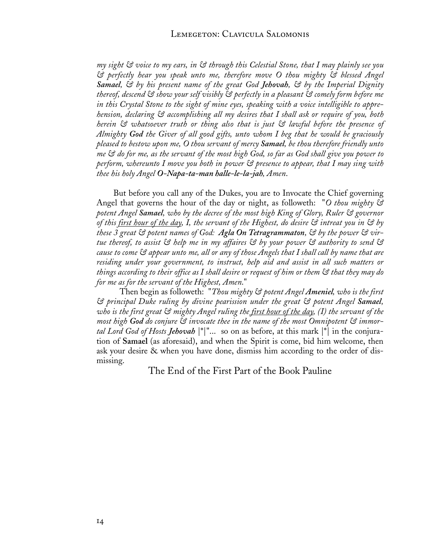*my sight & voice to my ears, in & through this Celestial Stone, that I may plainly see you & perfectly hear you speak unto me, therefore move O thou mighty & blessed Angel Samael, & by his present name of the great God Jehovah, & by the Imperial Dignity thereof, descend & show your self visibly & perfectly in a pleasant & comely form before me in this Crystal Stone to the sight of mine eyes, speaking with a voice intelligible to apprehension, declaring & accomplishing all my desires that I shall ask or require of you, both herein & whatsoever truth or thing also that is just & lawful before the presence of Almighty God the Giver of all good gifts, unto whom I beg that he would be graciously pleased to bestow upon me, O thou servant of mercy Samael, be thou therefore friendly unto me & do for me, as the servant of the most high God, so far as God shall give you power to perform, whereunto I move you both in power & presence to appear, that I may sing with thee his holy Angel O-Napa-ta-man halle-le-la-jah, Amen*.

But before you call any of the Dukes, you are to Invocate the Chief governing Angel that governs the hour of the day or night, as followeth: "*O thou mighty & potent Angel Samael, who by the decree of the most high King of Glory, Ruler & governor of this first hour of the day, I, the servant of the Highest, do desire & intreat you in & by these 3 great & potent names of God: Agla On Tetragrammaton, & by the power & virtue thereof, to assist & help me in my affaires & by your power & authority to send & cause to come & appear unto me, all or any of those Angels that I shall call by name that are residing under your government, to instruct, help aid and assist in all such matters or things according to their office as I shall desire or request of him or them & that they may do for me as for the servant of the Highest, Amen*."

 Then begin as followeth: "*Thou mighty & potent Angel Ameniel, who is the first & principal Duke ruling by divine pearission under the great & potent Angel Samael, who is the first great & mighty Angel ruling the first hour of the day, (I) the servant of the most high God do conjure & invocate thee in the name of the most Omnipotent & immortal Lord God of Hosts Jehovah* |\*|"... so on as before, at this mark |\*| in the conjuration of **Samael** (as aforesaid), and when the Spirit is come, bid him welcome, then ask your desire & when you have done, dismiss him according to the order of dismissing.

The End of the First Part of the Book Pauline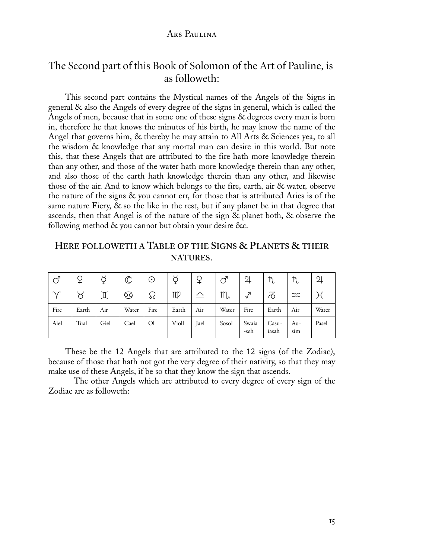# The Second part of this Book of Solomon of the Art of Pauline, is as followeth:

This second part contains the Mystical names of the Angels of the Signs in general & also the Angels of every degree of the signs in general, which is called the Angels of men, because that in some one of these signs & degrees every man is born in, therefore he that knows the minutes of his birth, he may know the name of the Angel that governs him, & thereby he may attain to All Arts & Sciences yea, to all the wisdom & knowledge that any mortal man can desire in this world. But note this, that these Angels that are attributed to the fire hath more knowledge therein than any other, and those of the water hath more knowledge therein than any other, and also those of the earth hath knowledge therein than any other, and likewise those of the air. And to know which belongs to the fire, earth, air & water, observe the nature of the signs & you cannot err, for those that is attributed Aries is of the same nature Fiery,  $\&$  so the like in the rest, but if any planet be in that degree that ascends, then that Angel is of the nature of the sign & planet both, & observe the following method & you cannot but obtain your desire &c.

**HERE FOLLOWETH A TABLE OF THE SIGNS & PLANETS & THEIR NATURES**.

| <b>S</b> |       | ₫    | $\mathbb C$ | $_{\odot}$    |       |             | ර'          | $\overline{2}$ | $\hbar$        | $\hbar$    | $\overline{2}$ |
|----------|-------|------|-------------|---------------|-------|-------------|-------------|----------------|----------------|------------|----------------|
|          | ୪     |      | <u>ତ</u>    | ४८            | mp    | $\triangle$ | $m_{\star}$ |                | 76             |            |                |
| Fire     | Earth | Air  | Water       | Fire          | Earth | Air         | Water       | Fire           | Earth          | Air        | Water          |
| Aiel     | Tual  | Giel | Cael        | <sup>Ol</sup> | Violl | Jael        | Sosol       | Swaia<br>-seh  | Casu-<br>iasah | Au-<br>sum | Pasel          |

These be the 12 Angels that are attributed to the 12 signs (of the Zodiac), because of those that hath not got the very degree of their nativity, so that they may make use of these Angels, if be so that they know the sign that ascends.

 The other Angels which are attributed to every degree of every sign of the Zodiac are as followeth: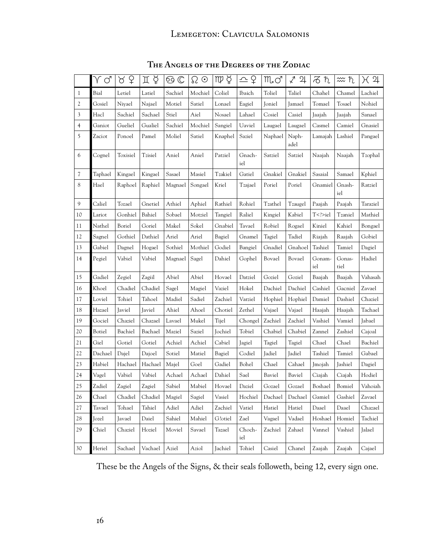# LEMEGETON: CLAVICULA SALOMONIS

|              | Υď      | ¥<br>୪   | ΠÞ      | ල ල     | $\Omega$ $\odot$ | $mp$ $\circ$ | 스 오           | $M_{\bullet}$ $\circlearrowleft$ | √<br>와        | るれ            | ≈ ħ            | H 4      |
|--------------|---------|----------|---------|---------|------------------|--------------|---------------|----------------------------------|---------------|---------------|----------------|----------|
| $\mathbf{1}$ | Bial    | Letiel   | Latiel  | Sachiel | Mochiel          | Coliel       | Ibaich        | Toliel                           | Taliel        | Chahel        | Chamel         | Lachiel  |
| 2            | Gosiel  | Niyael   | Najael  | Motiel  | Satiel           | Lonael       | Eagiel        | Joniel                           | Jamael        | Tomael        | Tosael         | Nohiel   |
| 3            | Hacl    | Sachiel  | Sachael | Stiel   | Aiel             | Nosael       | Lahael        | Cosiel                           | Casiel        | Jaajah        | Jaajah         | Sanael   |
| 4            | Ganiot  | Gueliel  | Gualiel | Sachiel | Mochiel          | Sangiel      | Uaviel        | Laugael                          | Laugael       | Casmel        | Camiel         | Gnasiel  |
| 5            | Zaciot  | Ponoel   | Pamel   | Moliel  | Satiel           | Knaphel      | Saziel        | Naphael                          | Naph-<br>adel | Lamajah       | Lashiel        | Pangael  |
| 6            | Cognel  | Toxisiel | Tzisiel | Aniel   | Aniel            | Patziel      | Gnach-<br>iel | Satziel                          | Satziel       | Naajah        | Naajah         | Tzophal  |
| 7            | Taphael | Kingael  | Kingael | Sasael  | Masiel           | Tzakiel      | Gatiel        | Gnakiel                          | Gnakiel       | Sasaial       | Samael         | Kphiel   |
| 8            | Hael    | Raphoel  | Raphiel | Magnael | Songael          | Kriel        | Tzajael       | Poriel                           | Poriel        | Gnamiel       | Gnash-<br>iel  | Ratziel  |
| 9            | Caliel  | Tozael   | Gnetiel | Athiel  | Aphiel           | Rathiel      | Rohiel        | Tzathel                          | Tzaugel       | Paajah        | Paajah         | Taraziel |
| 10           | Lariot  | Gonhiel  | Bahiel  | Sobael  | Motziel          | Tangiel      | Raliel        | Kingiel                          | Kabiel        | T iel         | Tzaniel        | Mathiel  |
| 11           | Nathel  | Boriel   | Goriel  | Makel   | Sokel            | Gnabiel      | Tavael        | Robiel                           | Rogael        | Kiniel        | Kahiel         | Bongael  |
| 12           | Sagnel  | Gothiel  | Dathiel | Ariel   | Ariel            | Bagiel       | Gnamel        | Tagiel                           | Tadiel        | Riajah        | Raajah         | Gobiel   |
| 13           | Gabiel  | Dagnel   | Hogael  | Sothiel | Mothiel          | Godiel       | Bangiel       | Gnadiel                          | Gnahoel       | Tashiel       | Tamiel         | Dagiel   |
| 14           | Pegiel  | Vabiel   | Vabiel  | Magnael | Sagel            | Dahiel       | Gophel        | Bovael                           | Bovael        | Gonam-<br>iel | Gonas-<br>tiel | Hadiel   |
| 15           | Gadiel  | Zegiel   | Zagiil  | Abiel   | Abiel            | Hovael       | Datziel       | Goziel                           | Goziel        | Baajah        | Baajah         | Vahasah  |
| 16           | Khoel   | Chadiel  | Chadiel | Sagel   | Magiel           | Vaziel       | Hokel         | Dachiel                          | Dachiel       | Cashiel       | Gacniel        | Zavael   |
| 17           | Loviel  | Tohiel   | Tahoel  | Madiel  | Sadiel           | Zachiel      | Varziel       | Hophiel                          | Hophiel       | Damiel        | Dashiel        | Chaziel  |
| 18           | Hazael  | Javiel   | Javiel  | Ahiel   | Ahoel            | Chotiel      | Zethel        | Vajael                           | Vajael        | Haajah        | Haajah         | Tachael  |
| 19           | Gociel  | Chaziel  | Chazael | Lavael  | Mukel            | Tijel        | Chongel       | Zachiel                          | Zachiel       | Vashiel       | Vamiel         | Jabael   |
| 20           | Botiel  | Bachiel  | Bachael | Maziel  | Saziel           | Jochiel      | Tobiel        | Chabiel                          | Chabiel       | Zannel        | Zashiel        | Cajoal   |
| 21           | Giel    | Gotiel   | Gotiel  | Achiel  | Achiel           | Cabiel       | Jagiel        | Tagiel                           | Tagiel        | Chael         | Chael          | Bachiel  |
| 22           | Dachael | Dajel    | Dajoel  | Sotiel  | Matiel           | Bagiel       | Codiel        | Jadiel                           | Jadiel        | Tashiel       | Tamiel         | Gabael   |
| 23           | Habiel  | Hachael  | Hachael | Majel   | Goel             | Gadiel       | Bohel         | Chael                            | Cahael        | Jmojah        | Jashiel        | Dagiel   |
| 24           | Vagel   | Vabiel   | Vabiel  | Achael  | Achael           | Dahiel       | Sael          | Baviel                           | Baviel        | Ciajah        | Ciajah         | Hodiel   |
| 25           | Zadiel  | Zagiel   | Zagiel  | Sabiel  | Mabiel           | Hovael       | Daziel        | Gozael                           | Gozael        | Boshael       | Bomiel         | Vahoiah  |
| 26           | Chael   | Chadiel  | Chadiel | Magiel  | Sagiel           | Vasiel       | Hochiel       | Dachael                          | Dachael       | Gamiel        | Gashiel        | Zavael   |
| 27           | Tavael  | Tohael   | Tahiel  | Adiel   | Adiel            | Zachiel      | Vatiel        | Hatiel                           | Hatiel        | Daael         | Daael          | Chazael  |
| 28           | Jozel   | Javael   | Daiel   | Sahiel  | Mahiel           | G?otiel      | Zael          | Vagael                           | Vadael        | Hoshael       | Homiel         | Tachiel  |
| 29           | Chiel   | Chaziel  | Hoziel  | Moviel  | Savael           | Tazael       | Choch-<br>iel | Zachiel                          | Zahael        | Vannel        | Vashiel        | Jalael   |
| 30           | Heriel  | Sachael  | Vachael | Aziel   | Aziol            | Jachiel      | Tohiel        | Casiel                           | Chanel        | Zaajah        | Zaajah         | Cajael   |

**The Angels of the Degrees of the Zodiac**

These be the Angels of the Signs, & their seals followeth, being 12, every sign one.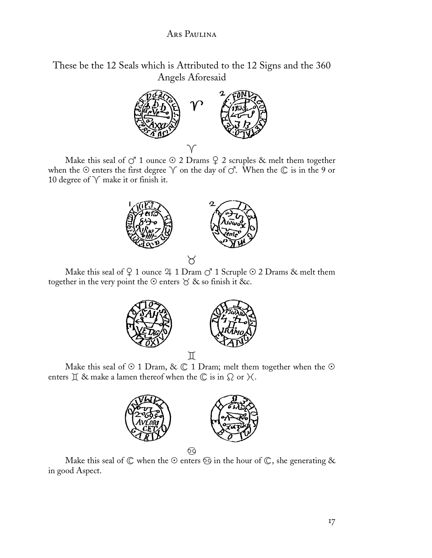These be the 12 Seals which is Attributed to the 12 Signs and the 360 Angels Aforesaid



Make this seal of  $\vec{C}$  1 ounce  $\odot$  2 Drams  $\c{Q}$  2 scruples  $\&$  melt them together when the  $\odot$  enters the first degree  $\curlyvee$  on the day of  $\circlearrowleft$ . When the  $\oslash$  is in the 9 or 10 degree of  $\sqrt{\ }$  make it or finish it.



Make this seal of  $\widehat{Q}$  1 ounce  $\mathfrak A$  1  $\mathop{\rm Dram}\nolimits$   $\mathop{\rm C}\nolimits^{\bullet}$  1  $\mathop{\rm Scupp}\nolimits$   $\mathfrak A$   $\mathfrak A$   $\mathfrak A$  melt them together in the very point the  $\odot$  enters  $\breve{\circ}$  & so finish it &c.



Make this seal of  $\odot$  1 Dram, &  $\odot$  1 Dram; melt them together when the  $\odot$ enters  $\mathbb I$  & make a lamen thereof when the  $\mathbb C$  is in  $\Omega$  or  $\mathcal H$ .







Make this seal of  $\mathbb C$  when the  $\odot$  enters  $\odot$  in the hour of  $\mathbb C$ , she generating  $\&$ in good Aspect.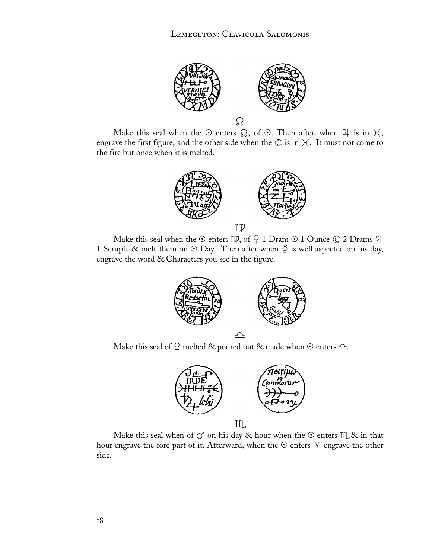

Make this seal when the  $\odot$  enters  $\Omega$ , of  $\odot$ . Then after, when  $\mathfrak A$  is in  $\mathfrak A$ , engrave the first figure, and the other side when the  $\mathbb C$  is in  $\mathcal H$ . It must not come to the fire but once when it is melted.



m

Make this seal when the enters , of - 1 Dram 1 Ounce 2 Drams 1 Scruple & melt them on  $\odot$  Day. Then after when  $\breve{\vee}$  is well aspected on his day, engrave the word & Characters you see in the figure.



Make this seal of  $\widehat{\varphi}$  melted & poured out & made when  $\odot$  enters  $\widehat{\phantom{\varphi}}$ .



Make this seal when of  $\circlearrowleft$  on his day & hour when the  $\circlearrowright$  enters  $\mathfrak{m}_s$  & in that hour engrave the fore part of it. Afterward, when the  $\odot$  enters  $\curlyvee$  engrave the other side.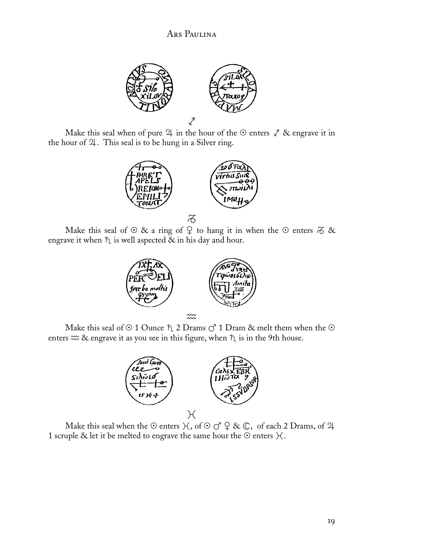

Make this seal when of pure  $\mathfrak A$  in the hour of the  $\odot$  enters  $\mathcal X$  & engrave it in the hour of  $\mathfrak A$ . This seal is to be hung in a Silver ring.



Make this seal of  $\odot$  & a ring of  $\circ$  to hang it in when the  $\odot$  enters  $\ddot{\sigma}$  & engrave it when  $\bar{b}$  is well aspected  $\bar{\alpha}$  in his day and hour.



Make this seal of  $\odot$  1 Ounce  $\ddagger$ , 2 Drams  $\circ$  1 Dram & melt them when the  $\odot$ enters  $\infty$  & engrave it as you see in this figure, when  $\hbar$  is in the 9th house.



Make this seal when the  $\odot$  enters  $\mathcal{H}$  , of  $\odot$   $\circlearrowleft$   $\,mathcal{Q} \,\, \& \,\mathbb{C},\,$  of each 2 Drams, of  $\mathfrak{A}$ 1 scruple & let it be melted to engrave the same hour the  $\odot$  enters  $\mathcal{H}$ .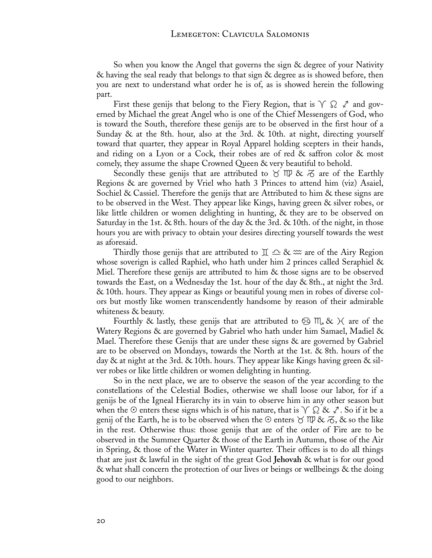So when you know the Angel that governs the sign & degree of your Nativity & having the seal ready that belongs to that sign & degree as is showed before, then you are next to understand what order he is of, as is showed herein the following part.

First these genijs that belong to the Fiery Region, that is  $\sqrt{\Omega} \not\subset$  and governed by Michael the great Angel who is one of the Chief Messengers of God, who is toward the South, therefore these genijs are to be observed in the first hour of a Sunday & at the 8th. hour, also at the 3rd. & 10th. at night, directing yourself toward that quarter, they appear in Royal Apparel holding scepters in their hands, and riding on a Lyon or a Cock, their robes are of red & saffron color & most comely, they assume the shape Crowned Queen & very beautiful to behold.

Secondly these genijs that are attributed to  $\gamma \gg \approx \pi$  are of the Earthly Regions & are governed by Vriel who hath 3 Princes to attend him (viz) Asaiel, Sochiel & Cassiel. Therefore the genijs that are Attributed to him  $\&$  these signs are to be observed in the West. They appear like Kings, having green & silver robes, or like little children or women delighting in hunting, & they are to be observed on Saturday in the 1st. & 8th. hours of the day & the 3rd. & 10th. of the night, in those hours you are with privacy to obtain your desires directing yourself towards the west as aforesaid.

Thirdly those genijs that are attributed to  $\mathbb{I} \subseteq \mathcal{X} \mathbb{R}$  are of the Airy Region whose soverign is called Raphiel, who hath under him 2 princes called Seraphiel & Miel. Therefore these genijs are attributed to him & those signs are to be observed towards the East, on a Wednesday the 1st. hour of the day & 8th., at night the 3rd. & 10th. hours. They appear as Kings or beautiful young men in robes of diverse colors but mostly like women transcendently handsome by reason of their admirable whiteness & beauty.

Fourthly & lastly, these genijs that are attributed to  $\odot$  M, &  $\times$  are of the Watery Regions & are governed by Gabriel who hath under him Samael, Madiel & Mael. Therefore these Genijs that are under these signs & are governed by Gabriel are to be observed on Mondays, towards the North at the 1st. & 8th. hours of the day & at night at the 3rd. & 10th. hours. They appear like Kings having green & silver robes or like little children or women delighting in hunting.

So in the next place, we are to observe the season of the year according to the constellations of the Celestial Bodies, otherwise we shall loose our labor, for if a genijs be of the Igneal Hierarchy its in vain to observe him in any other season but when the  $\odot$  enters these signs which is of his nature, that is  $\land\ \Omega$  &  $\not\sim$  . So if it be a genij of the Earth, he is to be observed when the  $\odot$  enters  $\odot$  MP &  $\ddot{\sigma}$ , & so the like in the rest. Otherwise thus: those genijs that are of the order of Fire are to be observed in the Summer Quarter & those of the Earth in Autumn, those of the Air in Spring, & those of the Water in Winter quarter. Their offices is to do all things that are just & lawful in the sight of the great God **Jehovah** & what is for our good & what shall concern the protection of our lives or beings or wellbeings & the doing good to our neighbors.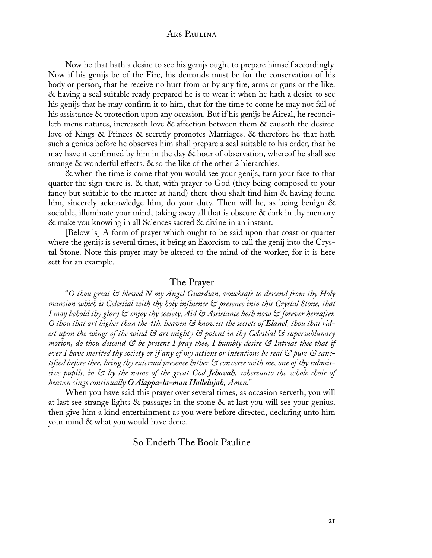Now he that hath a desire to see his genijs ought to prepare himself accordingly. Now if his genijs be of the Fire, his demands must be for the conservation of his body or person, that he receive no hurt from or by any fire, arms or guns or the like. & having a seal suitable ready prepared he is to wear it when he hath a desire to see his genijs that he may confirm it to him, that for the time to come he may not fail of his assistance & protection upon any occasion. But if his genijs be Aireal, he reconcileth mens natures, increaseth love & affection between them & causeth the desired love of Kings & Princes & secretly promotes Marriages. & therefore he that hath such a genius before he observes him shall prepare a seal suitable to his order, that he may have it confirmed by him in the day  $&$  hour of observation, whereof he shall see strange & wonderful effects. & so the like of the other 2 hierarchies.

& when the time is come that you would see your genijs, turn your face to that quarter the sign there is. & that, with prayer to God (they being composed to your fancy but suitable to the matter at hand) there thou shalt find him & having found him, sincerely acknowledge him, do your duty. Then will he, as being benign & sociable, illuminate your mind, taking away all that is obscure & dark in thy memory & make you knowing in all Sciences sacred & divine in an instant.

[Below is] A form of prayer which ought to be said upon that coast or quarter where the genijs is several times, it being an Exorcism to call the genij into the Crystal Stone. Note this prayer may be altered to the mind of the worker, for it is here sett for an example.

#### The Prayer

"*O thou great & blessed N my Angel Guardian, vouchsafe to descend from thy Holy mansion which is Celestial with thy holy influence & presence into this Crystal Stone, that I may behold thy glory & enjoy thy society, Aid & Assistance both now & forever hereafter, O thou that art higher than the 4th. heaven & knowest the secrets of Elanel, thou that ridest upon the wings of the wind & art mighty & potent in thy Celestial & supersublunary motion, do thou descend & be present I pray thee, I humbly desire & Intreat thee that if ever I have merited thy society or if any of my actions or intentions be real & pure & sanctified before thee, bring thy external presence hither & converse with me, one of thy submissive pupils, in & by the name of the great God Jehovah, whereunto the whole choir of heaven sings continually O Alappa-la-man Hallelujah, Amen*."

When you have said this prayer over several times, as occasion serveth, you will at last see strange lights  $\&$  passages in the stone  $\&$  at last you will see your genius, then give him a kind entertainment as you were before directed, declaring unto him your mind & what you would have done.

#### So Endeth The Book Pauline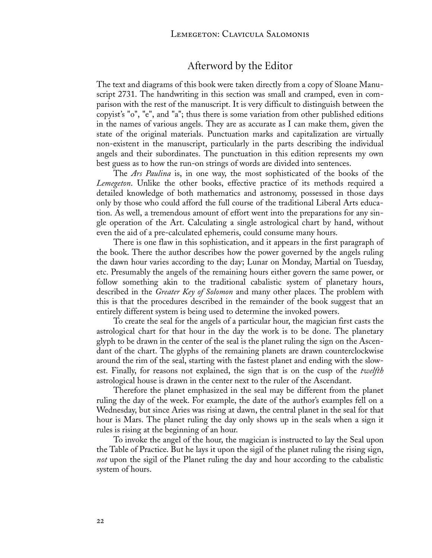# Afterword by the Editor

The text and diagrams of this book were taken directly from a copy of Sloane Manuscript 2731. The handwriting in this section was small and cramped, even in comparison with the rest of the manuscript. It is very difficult to distinguish between the copyist's "o", "e", and "a"; thus there is some variation from other published editions in the names of various angels. They are as accurate as I can make them, given the state of the original materials. Punctuation marks and capitalization are virtually non-existent in the manuscript, particularly in the parts describing the individual angels and their subordinates. The punctuation in this edition represents my own best guess as to how the run-on strings of words are divided into sentences.

The *Ars Paulina* is, in one way, the most sophisticated of the books of the *Lemegeton*. Unlike the other books, effective practice of its methods required a detailed knowledge of both mathematics and astronomy, possessed in those days only by those who could afford the full course of the traditional Liberal Arts education. As well, a tremendous amount of effort went into the preparations for any single operation of the Art. Calculating a single astrological chart by hand, without even the aid of a pre-calculated ephemeris, could consume many hours.

There is one flaw in this sophistication, and it appears in the first paragraph of the book. There the author describes how the power governed by the angels ruling the dawn hour varies according to the day; Lunar on Monday, Martial on Tuesday, etc. Presumably the angels of the remaining hours either govern the same power, or follow something akin to the traditional cabalistic system of planetary hours, described in the *Greater Key of Solomon* and many other places. The problem with this is that the procedures described in the remainder of the book suggest that an entirely different system is being used to determine the invoked powers.

To create the seal for the angels of a particular hour, the magician first casts the astrological chart for that hour in the day the work is to be done. The planetary glyph to be drawn in the center of the seal is the planet ruling the sign on the Ascendant of the chart. The glyphs of the remaining planets are drawn counterclockwise around the rim of the seal, starting with the fastest planet and ending with the slowest. Finally, for reasons not explained, the sign that is on the cusp of the *twelfth* astrological house is drawn in the center next to the ruler of the Ascendant.

Therefore the planet emphasized in the seal may be different from the planet ruling the day of the week. For example, the date of the author's examples fell on a Wednesday, but since Aries was rising at dawn, the central planet in the seal for that hour is Mars. The planet ruling the day only shows up in the seals when a sign it rules is rising at the beginning of an hour.

To invoke the angel of the hour, the magician is instructed to lay the Seal upon the Table of Practice. But he lays it upon the sigil of the planet ruling the rising sign, *not* upon the sigil of the Planet ruling the day and hour according to the cabalistic system of hours.